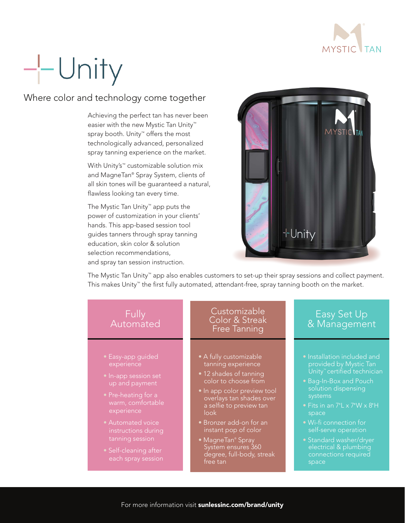

# $-$  Unity

## Where color and technology come together

Achieving the perfect tan has never been easier with the new Mystic Tan Unity™ spray booth. Unity™ offers the most technologically advanced, personalized spray tanning experience on the market.

With Unity's™ customizable solution mix and MagneTan® Spray System, clients of all skin tones will be guaranteed a natural, flawless looking tan every time.

The Mystic Tan Unity™ app puts the power of customization in your clients' hands. This app-based session tool guides tanners through spray tanning education, skin color & solution selection recommendations, and spray tan session instruction.



The Mystic Tan Unity™ app also enables customers to set-up their spray sessions and collect payment. This makes Unity™ the first fully automated, attendant-free, spray tanning booth on the market.